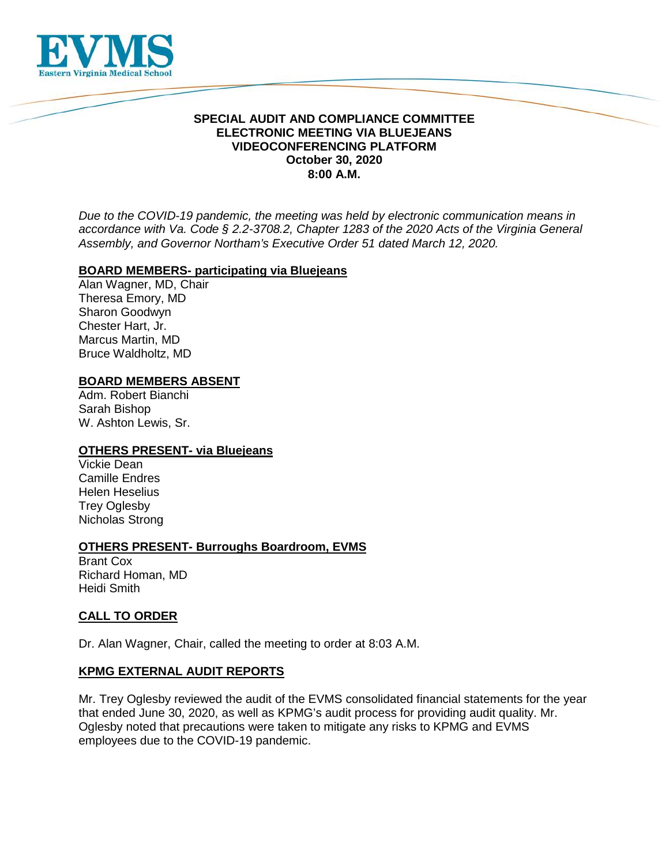

## **SPECIAL AUDIT AND COMPLIANCE COMMITTEE ELECTRONIC MEETING VIA BLUEJEANS VIDEOCONFERENCING PLATFORM October 30, 2020 8:00 A.M.**

*Due to the COVID-19 pandemic, the meeting was held by electronic communication means in accordance with Va. Code § 2.2-3708.2, Chapter 1283 of the 2020 Acts of the Virginia General Assembly, and Governor Northam's Executive Order 51 dated March 12, 2020.*

### **BOARD MEMBERS- participating via Bluejeans**

Alan Wagner, MD, Chair Theresa Emory, MD Sharon Goodwyn Chester Hart, Jr. Marcus Martin, MD Bruce Waldholtz, MD

### **BOARD MEMBERS ABSENT**

Adm. Robert Bianchi Sarah Bishop W. Ashton Lewis, Sr.

### **OTHERS PRESENT- via Bluejeans**

Vickie Dean Camille Endres Helen Heselius Trey Oglesby Nicholas Strong

### **OTHERS PRESENT- Burroughs Boardroom, EVMS**

Brant Cox Richard Homan, MD Heidi Smith

# **CALL TO ORDER**

Dr. Alan Wagner, Chair, called the meeting to order at 8:03 A.M.

### **KPMG EXTERNAL AUDIT REPORTS**

Mr. Trey Oglesby reviewed the audit of the EVMS consolidated financial statements for the year that ended June 30, 2020, as well as KPMG's audit process for providing audit quality. Mr. Oglesby noted that precautions were taken to mitigate any risks to KPMG and EVMS employees due to the COVID-19 pandemic.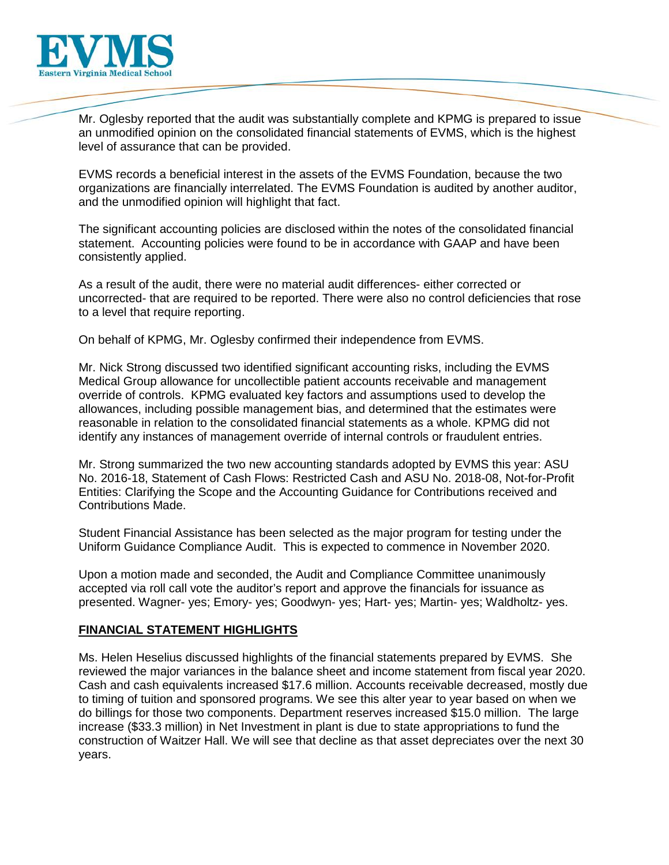

Mr. Oglesby reported that the audit was substantially complete and KPMG is prepared to issue an unmodified opinion on the consolidated financial statements of EVMS, which is the highest level of assurance that can be provided.

EVMS records a beneficial interest in the assets of the EVMS Foundation, because the two organizations are financially interrelated. The EVMS Foundation is audited by another auditor, and the unmodified opinion will highlight that fact.

The significant accounting policies are disclosed within the notes of the consolidated financial statement. Accounting policies were found to be in accordance with GAAP and have been consistently applied.

As a result of the audit, there were no material audit differences- either corrected or uncorrected- that are required to be reported. There were also no control deficiencies that rose to a level that require reporting.

On behalf of KPMG, Mr. Oglesby confirmed their independence from EVMS.

Mr. Nick Strong discussed two identified significant accounting risks, including the EVMS Medical Group allowance for uncollectible patient accounts receivable and management override of controls. KPMG evaluated key factors and assumptions used to develop the allowances, including possible management bias, and determined that the estimates were reasonable in relation to the consolidated financial statements as a whole. KPMG did not identify any instances of management override of internal controls or fraudulent entries.

Mr. Strong summarized the two new accounting standards adopted by EVMS this year: ASU No. 2016-18, Statement of Cash Flows: Restricted Cash and ASU No. 2018-08, Not-for-Profit Entities: Clarifying the Scope and the Accounting Guidance for Contributions received and Contributions Made.

Student Financial Assistance has been selected as the major program for testing under the Uniform Guidance Compliance Audit. This is expected to commence in November 2020.

Upon a motion made and seconded, the Audit and Compliance Committee unanimously accepted via roll call vote the auditor's report and approve the financials for issuance as presented. Wagner- yes; Emory- yes; Goodwyn- yes; Hart- yes; Martin- yes; Waldholtz- yes.

# **FINANCIAL STATEMENT HIGHLIGHTS**

Ms. Helen Heselius discussed highlights of the financial statements prepared by EVMS. She reviewed the major variances in the balance sheet and income statement from fiscal year 2020. Cash and cash equivalents increased \$17.6 million. Accounts receivable decreased, mostly due to timing of tuition and sponsored programs. We see this alter year to year based on when we do billings for those two components. Department reserves increased \$15.0 million. The large increase (\$33.3 million) in Net Investment in plant is due to state appropriations to fund the construction of Waitzer Hall. We will see that decline as that asset depreciates over the next 30 years.